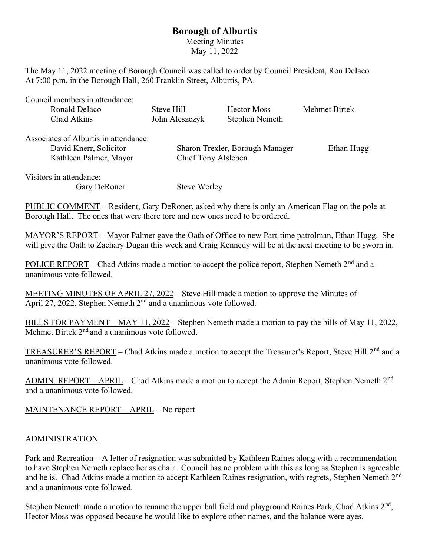## Borough of Alburtis

Meeting Minutes May 11, 2022

The May 11, 2022 meeting of Borough Council was called to order by Council President, Ron DeIaco At 7:00 p.m. in the Borough Hall, 260 Franklin Street, Alburtis, PA.

| Council members in attendance:        |                                 |                    |               |
|---------------------------------------|---------------------------------|--------------------|---------------|
| Ronald Delaco                         | Steve Hill                      | <b>Hector Moss</b> | Mehmet Birtek |
| Chad Atkins                           | John Aleszczyk                  | Stephen Nemeth     |               |
| Associates of Alburtis in attendance: |                                 |                    |               |
| David Knerr, Solicitor                | Sharon Trexler, Borough Manager |                    | Ethan Hugg    |
| Kathleen Palmer, Mayor                | Chief Tony Alsleben             |                    |               |
| Visitors in attendance:               |                                 |                    |               |
| Gary DeRoner                          | <b>Steve Werley</b>             |                    |               |

PUBLIC COMMENT – Resident, Gary DeRoner, asked why there is only an American Flag on the pole at Borough Hall. The ones that were there tore and new ones need to be ordered.

MAYOR'S REPORT – Mayor Palmer gave the Oath of Office to new Part-time patrolman, Ethan Hugg. She will give the Oath to Zachary Dugan this week and Craig Kennedy will be at the next meeting to be sworn in.

POLICE REPORT – Chad Atkins made a motion to accept the police report, Stephen Nemeth 2<sup>nd</sup> and a unanimous vote followed.

MEETING MINUTES OF APRIL 27, 2022 – Steve Hill made a motion to approve the Minutes of April 27, 2022, Stephen Nemeth  $2<sup>nd</sup>$  and a unanimous vote followed.

BILLS FOR PAYMENT – MAY 11, 2022 – Stephen Nemeth made a motion to pay the bills of May 11, 2022, Mehmet Birtek  $2<sup>nd</sup>$  and a unanimous vote followed.

TREASURER'S REPORT – Chad Atkins made a motion to accept the Treasurer's Report, Steve Hill 2<sup>nd</sup> and a unanimous vote followed.

ADMIN. REPORT – APRIL – Chad Atkins made a motion to accept the Admin Report, Stephen Nemeth  $2<sup>nd</sup>$ and a unanimous vote followed.

MAINTENANCE REPORT – APRIL – No report

## ADMINISTRATION

Park and Recreation – A letter of resignation was submitted by Kathleen Raines along with a recommendation to have Stephen Nemeth replace her as chair. Council has no problem with this as long as Stephen is agreeable and he is. Chad Atkins made a motion to accept Kathleen Raines resignation, with regrets, Stephen Nemeth 2<sup>nd</sup> and a unanimous vote followed.

Stephen Nemeth made a motion to rename the upper ball field and playground Raines Park, Chad Atkins  $2<sup>nd</sup>$ , Hector Moss was opposed because he would like to explore other names, and the balance were ayes.